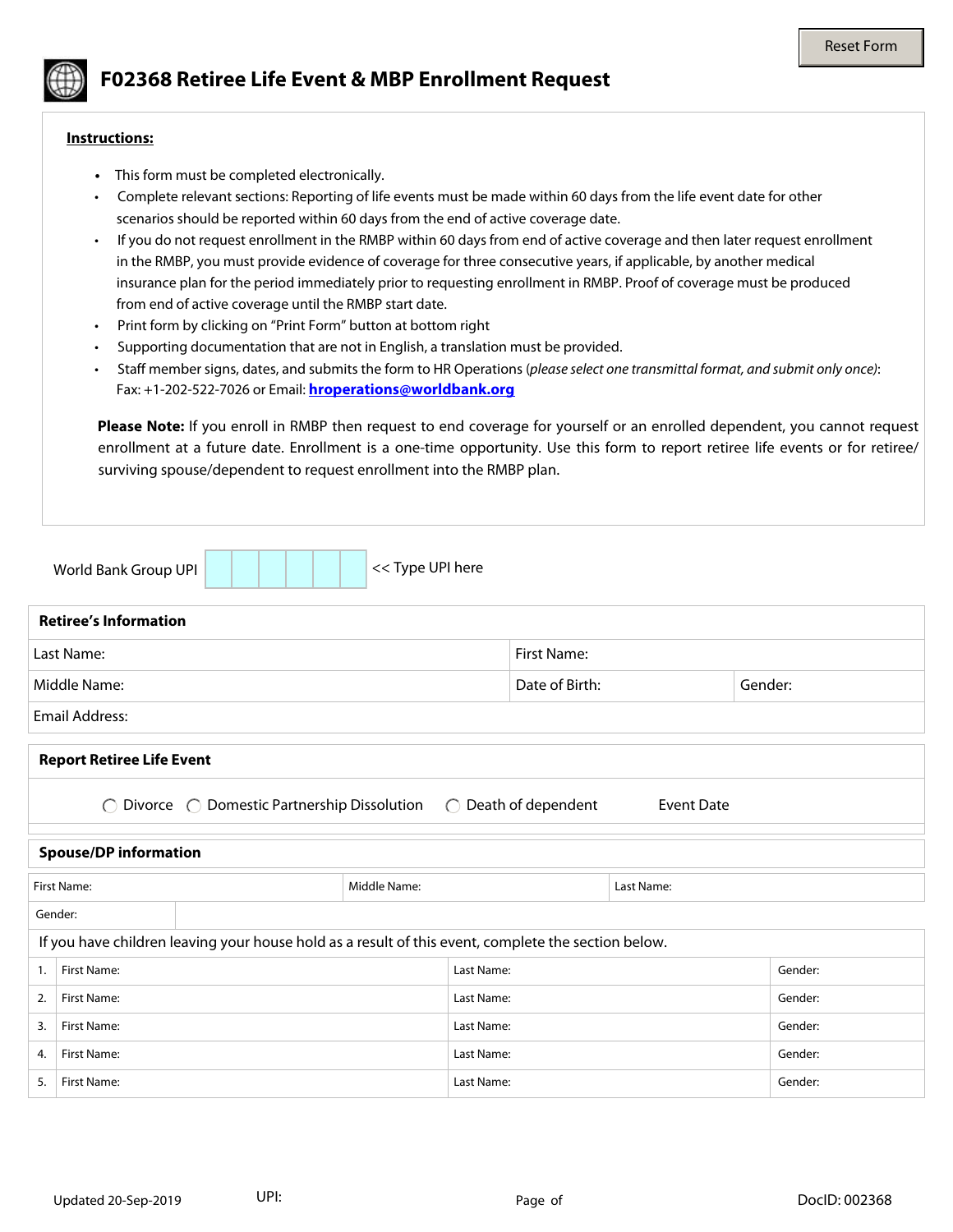

## **F02368 Retiree Life Event & MBP Enrollment Request**

## **Instructions:**

- This form must be completed electronically.
- Complete relevant sections: Reporting of life events must be made within 60 days from the life event date for other scenarios should be reported within 60 days from the end of active coverage date.
- If you do not request enrollment in the RMBP within 60 days from end of active coverage and then later request enrollment in the RMBP, you must provide evidence of coverage for three consecutive years, if applicable, by another medical insurance plan for the period immediately prior to requesting enrollment in RMBP. Proof of coverage must be produced from end of active coverage until the RMBP start date.
- Print form by clicking on "Print Form" button at bottom right
- Supporting documentation that are not in English, a translation must be provided.
- Staff member signs, dates, and submits the form to HR Operations (*please select one transmittal format, and submit only once)*: Fax: +1-202-522-7026 or Email: **[hroperations@worldbank.org](mailto:hroperations@worldbank.org)**

**Please Note:** If you enroll in RMBP then request to end coverage for yourself or an enrolled dependent, you cannot request enrollment at a future date. Enrollment is a one-time opportunity. Use this form to report retiree life events or for retiree/ surviving spouse/dependent to request enrollment into the RMBP plan.

|                                                                                                                                         | World Bank Group UPI | << Type UPI here   |                |            |         |                                   |  |  |
|-----------------------------------------------------------------------------------------------------------------------------------------|----------------------|--------------------|----------------|------------|---------|-----------------------------------|--|--|
| <b>Retiree's Information</b>                                                                                                            |                      |                    |                |            |         |                                   |  |  |
|                                                                                                                                         | Last Name:           | <b>First Name:</b> |                |            |         |                                   |  |  |
| Middle Name:                                                                                                                            |                      |                    | Date of Birth: |            | Gender: | $\blacktriangledown$              |  |  |
| <b>Email Address:</b>                                                                                                                   |                      |                    |                |            |         |                                   |  |  |
| <b>Report Retiree Life Event</b><br>Divorce  C Domestic Partnership Dissolution<br>Death of dependent<br><b>Event Date</b><br>$\bigcap$ |                      |                    |                |            |         |                                   |  |  |
| <b>Spouse/DP information</b>                                                                                                            |                      |                    |                |            |         |                                   |  |  |
| <b>First Name:</b>                                                                                                                      |                      | Middle Name:       |                | Last Name: |         |                                   |  |  |
| Gender:<br>$\blacktriangledown$                                                                                                         |                      |                    |                |            |         |                                   |  |  |
| If you have children leaving your house hold as a result of this event, complete the section below.                                     |                      |                    |                |            |         |                                   |  |  |
| $\overline{1}$ .                                                                                                                        | First Name:          |                    | Last Name:     |            | Gender: | $\left  \mathbf{v} \right $       |  |  |
| 2.                                                                                                                                      | First Name:          |                    | Last Name:     |            | Gender: | $\left  \mathbf{v} \right $       |  |  |
| 3.                                                                                                                                      | First Name:          |                    | Last Name:     |            | Gender: | $\left  \cdot \right $            |  |  |
| 4.                                                                                                                                      | First Name:          |                    | Last Name:     |            | Gender: | $\blacktriangledown$              |  |  |
| 5.                                                                                                                                      | First Name:          |                    | Last Name:     |            | Gender: | $\left  \rule{0pt}{10pt} \right.$ |  |  |